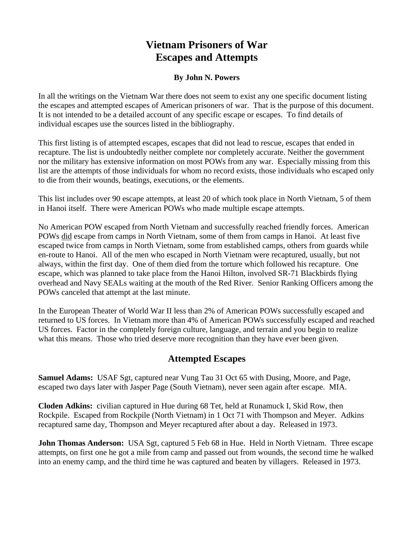# **Vietnam Prisoners of War Escapes and Attempts**

#### **By John N. Powers**

In all the writings on the Vietnam War there does not seem to exist any one specific document listing the escapes and attempted escapes of American prisoners of war. That is the purpose of this document. It is not intended to be a detailed account of any specific escape or escapes. To find details of individual escapes use the sources listed in the bibliography.

This first listing is of attempted escapes, escapes that did not lead to rescue, escapes that ended in recapture. The list is undoubtedly neither complete nor completely accurate. Neither the government nor the military has extensive information on most POWs from any war. Especially missing from this list are the attempts of those individuals for whom no record exists, those individuals who escaped only to die from their wounds, beatings, executions, or the elements.

This list includes over 90 escape attempts, at least 20 of which took place in North Vietnam, 5 of them in Hanoi itself. There were American POWs who made multiple escape attempts.

No American POW escaped from North Vietnam and successfully reached friendly forces. American POWs did escape from camps in North Vietnam, some of them from camps in Hanoi. At least five escaped twice from camps in North Vietnam, some from established camps, others from guards while en-route to Hanoi. All of the men who escaped in North Vietnam were recaptured, usually, but not always, within the first day. One of them died from the torture which followed his recapture. One escape, which was planned to take place from the Hanoi Hilton, involved SR-71 Blackbirds flying overhead and Navy SEALs waiting at the mouth of the Red River. Senior Ranking Officers among the POWs canceled that attempt at the last minute.

In the European Theater of World War II less than 2% of American POWs successfully escaped and returned to US forces. In Vietnam more than 4% of American POWs successfully escaped and reached US forces. Factor in the completely foreign culture, language, and terrain and you begin to realize what this means. Those who tried deserve more recognition than they have ever been given.

### **Attempted Escapes**

**Samuel Adams:** USAF Sgt, captured near Vung Tau 31 Oct 65 with Dusing, Moore, and Page, escaped two days later with Jasper Page (South Vietnam), never seen again after escape. MIA.

**Cloden Adkins:** civilian captured in Hue during 68 Tet, held at Runamuck I, Skid Row, then Rockpile. Escaped from Rockpile (North Vietnam) in 1 Oct 71 with Thompson and Meyer. Adkins recaptured same day, Thompson and Meyer recaptured after about a day. Released in 1973.

**John Thomas Anderson:** USA Sgt, captured 5 Feb 68 in Hue. Held in North Vietnam. Three escape attempts, on first one he got a mile from camp and passed out from wounds, the second time he walked into an enemy camp, and the third time he was captured and beaten by villagers. Released in 1973.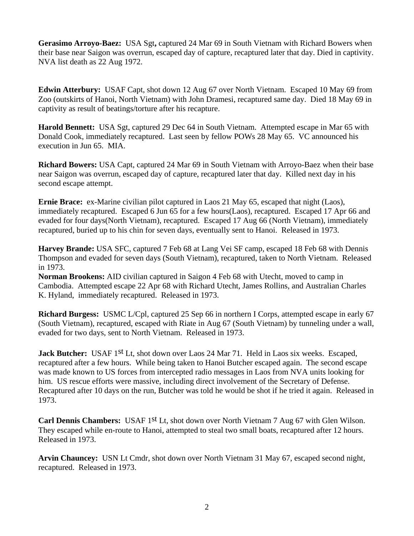**Gerasimo Arroyo-Baez:** USA Sgt**,** captured 24 Mar 69 in South Vietnam with Richard Bowers when their base near Saigon was overrun, escaped day of capture, recaptured later that day. Died in captivity. NVA list death as 22 Aug 1972.

**Edwin Atterbury:** USAF Capt, shot down 12 Aug 67 over North Vietnam. Escaped 10 May 69 from Zoo (outskirts of Hanoi, North Vietnam) with John Dramesi, recaptured same day. Died 18 May 69 in captivity as result of beatings/torture after his recapture.

**Harold Bennett:** USA Sgt, captured 29 Dec 64 in South Vietnam. Attempted escape in Mar 65 with Donald Cook, immediately recaptured. Last seen by fellow POWs 28 May 65. VC announced his execution in Jun 65. MIA.

**Richard Bowers:** USA Capt, captured 24 Mar 69 in South Vietnam with Arroyo-Baez when their base near Saigon was overrun, escaped day of capture, recaptured later that day. Killed next day in his second escape attempt.

**Ernie Brace:** ex-Marine civilian pilot captured in Laos 21 May 65, escaped that night (Laos), immediately recaptured. Escaped 6 Jun 65 for a few hours(Laos), recaptured. Escaped 17 Apr 66 and evaded for four days(North Vietnam), recaptured. Escaped 17 Aug 66 (North Vietnam), immediately recaptured, buried up to his chin for seven days, eventually sent to Hanoi. Released in 1973.

**Harvey Brande:** USA SFC, captured 7 Feb 68 at Lang Vei SF camp, escaped 18 Feb 68 with Dennis Thompson and evaded for seven days (South Vietnam), recaptured, taken to North Vietnam. Released in 1973.

**Norman Brookens:** AID civilian captured in Saigon 4 Feb 68 with Utecht, moved to camp in Cambodia. Attempted escape 22 Apr 68 with Richard Utecht, James Rollins, and Australian Charles K. Hyland, immediately recaptured. Released in 1973.

**Richard Burgess:** USMC L/Cpl, captured 25 Sep 66 in northern I Corps, attempted escape in early 67 (South Vietnam), recaptured, escaped with Riate in Aug 67 (South Vietnam) by tunneling under a wall, evaded for two days, sent to North Vietnam. Released in 1973.

**Jack Butcher:** USAF 1<sup>st</sup> Lt, shot down over Laos 24 Mar 71. Held in Laos six weeks. Escaped, recaptured after a few hours. While being taken to Hanoi Butcher escaped again. The second escape was made known to US forces from intercepted radio messages in Laos from NVA units looking for him. US rescue efforts were massive, including direct involvement of the Secretary of Defense. Recaptured after 10 days on the run, Butcher was told he would be shot if he tried it again. Released in 1973.

Carl Dennis Chambers: USAF 1<sup>st</sup> Lt, shot down over North Vietnam 7 Aug 67 with Glen Wilson. They escaped while en-route to Hanoi, attempted to steal two small boats, recaptured after 12 hours. Released in 1973.

**Arvin Chauncey:** USN Lt Cmdr, shot down over North Vietnam 31 May 67, escaped second night, recaptured. Released in 1973.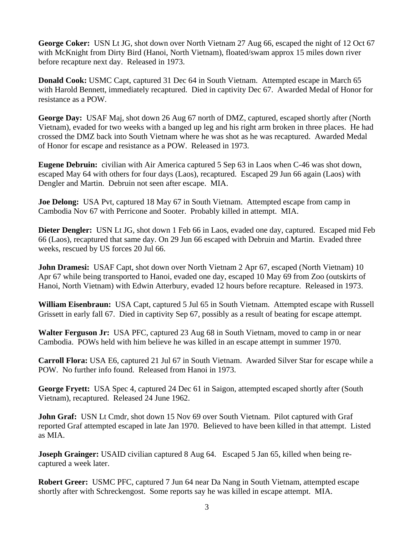**George Coker:** USN Lt JG, shot down over North Vietnam 27 Aug 66, escaped the night of 12 Oct 67 with McKnight from Dirty Bird (Hanoi, North Vietnam), floated/swam approx 15 miles down river before recapture next day. Released in 1973.

**Donald Cook:** USMC Capt, captured 31 Dec 64 in South Vietnam. Attempted escape in March 65 with Harold Bennett, immediately recaptured. Died in captivity Dec 67. Awarded Medal of Honor for resistance as a POW.

**George Day:** USAF Maj, shot down 26 Aug 67 north of DMZ, captured, escaped shortly after (North Vietnam), evaded for two weeks with a banged up leg and his right arm broken in three places. He had crossed the DMZ back into South Vietnam where he was shot as he was recaptured. Awarded Medal of Honor for escape and resistance as a POW. Released in 1973.

**Eugene Debruin:** civilian with Air America captured 5 Sep 63 in Laos when C-46 was shot down, escaped May 64 with others for four days (Laos), recaptured. Escaped 29 Jun 66 again (Laos) with Dengler and Martin. Debruin not seen after escape. MIA.

**Joe Delong:** USA Pvt, captured 18 May 67 in South Vietnam. Attempted escape from camp in Cambodia Nov 67 with Perricone and Sooter. Probably killed in attempt. MIA.

**Dieter Dengler:** USN Lt JG, shot down 1 Feb 66 in Laos, evaded one day, captured. Escaped mid Feb 66 (Laos), recaptured that same day. On 29 Jun 66 escaped with Debruin and Martin. Evaded three weeks, rescued by US forces 20 Jul 66.

**John Dramesi:** USAF Capt, shot down over North Vietnam 2 Apr 67, escaped (North Vietnam) 10 Apr 67 while being transported to Hanoi, evaded one day, escaped 10 May 69 from Zoo (outskirts of Hanoi, North Vietnam) with Edwin Atterbury, evaded 12 hours before recapture. Released in 1973.

**William Eisenbraun:** USA Capt, captured 5 Jul 65 in South Vietnam. Attempted escape with Russell Grissett in early fall 67. Died in captivity Sep 67, possibly as a result of beating for escape attempt.

**Walter Ferguson Jr:** USA PFC, captured 23 Aug 68 in South Vietnam, moved to camp in or near Cambodia. POWs held with him believe he was killed in an escape attempt in summer 1970.

**Carroll Flora:** USA E6, captured 21 Jul 67 in South Vietnam. Awarded Silver Star for escape while a POW. No further info found. Released from Hanoi in 1973.

**George Fryett:** USA Spec 4, captured 24 Dec 61 in Saigon, attempted escaped shortly after (South Vietnam), recaptured. Released 24 June 1962.

**John Graf:** USN Lt Cmdr, shot down 15 Nov 69 over South Vietnam. Pilot captured with Graf reported Graf attempted escaped in late Jan 1970. Believed to have been killed in that attempt. Listed as MIA.

**Joseph Grainger:** USAID civilian captured 8 Aug 64. Escaped 5 Jan 65, killed when being recaptured a week later.

**Robert Greer:** USMC PFC, captured 7 Jun 64 near Da Nang in South Vietnam, attempted escape shortly after with Schreckengost. Some reports say he was killed in escape attempt. MIA.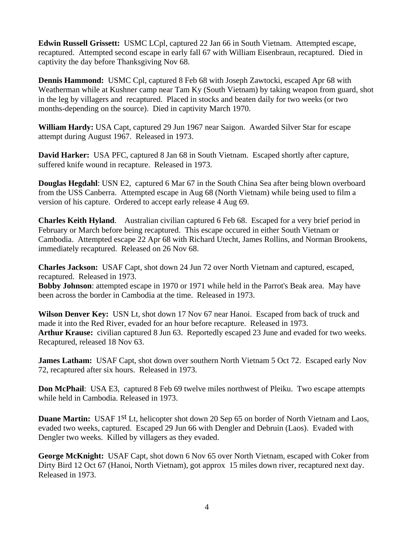**Edwin Russell Grissett:** USMC LCpl, captured 22 Jan 66 in South Vietnam. Attempted escape, recaptured. Attempted second escape in early fall 67 with William Eisenbraun, recaptured. Died in captivity the day before Thanksgiving Nov 68.

**Dennis Hammond:** USMC Cpl, captured 8 Feb 68 with Joseph Zawtocki, escaped Apr 68 with Weatherman while at Kushner camp near Tam Ky (South Vietnam) by taking weapon from guard, shot in the leg by villagers and recaptured. Placed in stocks and beaten daily for two weeks (or two months-depending on the source). Died in captivity March 1970.

**William Hardy:** USA Capt, captured 29 Jun 1967 near Saigon. Awarded Silver Star for escape attempt during August 1967. Released in 1973.

**David Harker:** USA PFC, captured 8 Jan 68 in South Vietnam. Escaped shortly after capture, suffered knife wound in recapture. Released in 1973.

**Douglas Hegdahl**: USN E2, captured 6 Mar 67 in the South China Sea after being blown overboard from the USS Canberra. Attempted escape in Aug 68 (North Vietnam) while being used to film a version of his capture. Ordered to accept early release 4 Aug 69.

**Charles Keith Hyland**. Australian civilian captured 6 Feb 68. Escaped for a very brief period in February or March before being recaptured. This escape occured in either South Vietnam or Cambodia. Attempted escape 22 Apr 68 with Richard Utecht, James Rollins, and Norman Brookens, immediately recaptured. Released on 26 Nov 68.

**Charles Jackson:** USAF Capt, shot down 24 Jun 72 over North Vietnam and captured, escaped, recaptured. Released in 1973.

**Bobby Johnson**: attempted escape in 1970 or 1971 while held in the Parrot's Beak area. May have been across the border in Cambodia at the time. Released in 1973.

**Wilson Denver Key:** USN Lt, shot down 17 Nov 67 near Hanoi. Escaped from back of truck and made it into the Red River, evaded for an hour before recapture. Released in 1973. **Arthur Krause:** civilian captured 8 Jun 63. Reportedly escaped 23 June and evaded for two weeks. Recaptured, released 18 Nov 63.

**James Latham:** USAF Capt, shot down over southern North Vietnam 5 Oct 72. Escaped early Nov 72, recaptured after six hours. Released in 1973.

**Don McPhail:** USA E3, captured 8 Feb 69 twelve miles northwest of Pleiku. Two escape attempts while held in Cambodia. Released in 1973.

**Duane Martin:** USAF 1<sup>st</sup> Lt, helicopter shot down 20 Sep 65 on border of North Vietnam and Laos, evaded two weeks, captured. Escaped 29 Jun 66 with Dengler and Debruin (Laos). Evaded with Dengler two weeks. Killed by villagers as they evaded.

**George McKnight:** USAF Capt, shot down 6 Nov 65 over North Vietnam, escaped with Coker from Dirty Bird 12 Oct 67 (Hanoi, North Vietnam), got approx 15 miles down river, recaptured next day. Released in 1973.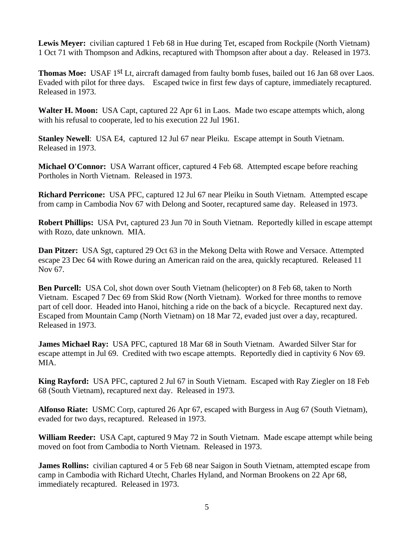Lewis Meyer: civilian captured 1 Feb 68 in Hue during Tet, escaped from Rockpile (North Vietnam) 1 Oct 71 with Thompson and Adkins, recaptured with Thompson after about a day. Released in 1973.

**Thomas Moe:** USAF 1<sup>st</sup> Lt, aircraft damaged from faulty bomb fuses, bailed out 16 Jan 68 over Laos. Evaded with pilot for three days. Escaped twice in first few days of capture, immediately recaptured. Released in 1973.

**Walter H. Moon:** USA Capt, captured 22 Apr 61 in Laos. Made two escape attempts which, along with his refusal to cooperate, led to his execution 22 Jul 1961.

**Stanley Newell**: USA E4, captured 12 Jul 67 near Pleiku. Escape attempt in South Vietnam. Released in 1973.

Michael O'Connor: USA Warrant officer, captured 4 Feb 68. Attempted escape before reaching Portholes in North Vietnam. Released in 1973.

**Richard Perricone:** USA PFC, captured 12 Jul 67 near Pleiku in South Vietnam. Attempted escape from camp in Cambodia Nov 67 with Delong and Sooter, recaptured same day. Released in 1973.

**Robert Phillips:** USA Pvt, captured 23 Jun 70 in South Vietnam. Reportedly killed in escape attempt with Rozo, date unknown. MIA.

**Dan Pitzer:** USA Sgt, captured 29 Oct 63 in the Mekong Delta with Rowe and Versace. Attempted escape 23 Dec 64 with Rowe during an American raid on the area, quickly recaptured. Released 11 Nov 67.

**Ben Purcell:** USA Col, shot down over South Vietnam (helicopter) on 8 Feb 68, taken to North Vietnam. Escaped 7 Dec 69 from Skid Row (North Vietnam). Worked for three months to remove part of cell door. Headed into Hanoi, hitching a ride on the back of a bicycle. Recaptured next day. Escaped from Mountain Camp (North Vietnam) on 18 Mar 72, evaded just over a day, recaptured. Released in 1973.

**James Michael Ray:** USA PFC, captured 18 Mar 68 in South Vietnam. Awarded Silver Star for escape attempt in Jul 69. Credited with two escape attempts. Reportedly died in captivity 6 Nov 69. MIA.

**King Rayford:** USA PFC, captured 2 Jul 67 in South Vietnam. Escaped with Ray Ziegler on 18 Feb 68 (South Vietnam), recaptured next day. Released in 1973.

**Alfonso Riate:** USMC Corp, captured 26 Apr 67, escaped with Burgess in Aug 67 (South Vietnam), evaded for two days, recaptured. Released in 1973.

**William Reeder:** USA Capt, captured 9 May 72 in South Vietnam. Made escape attempt while being moved on foot from Cambodia to North Vietnam. Released in 1973.

**James Rollins:** civilian captured 4 or 5 Feb 68 near Saigon in South Vietnam, attempted escape from camp in Cambodia with Richard Utecht, Charles Hyland, and Norman Brookens on 22 Apr 68, immediately recaptured. Released in 1973.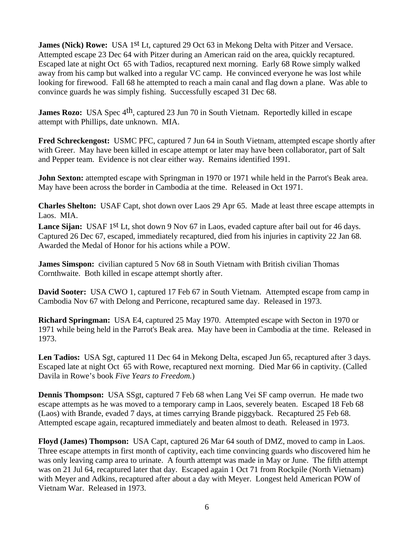**James (Nick) Rowe:** USA 1<sup>st</sup> Lt, captured 29 Oct 63 in Mekong Delta with Pitzer and Versace. Attempted escape 23 Dec 64 with Pitzer during an American raid on the area, quickly recaptured. Escaped late at night Oct 65 with Tadios, recaptured next morning. Early 68 Rowe simply walked away from his camp but walked into a regular VC camp. He convinced everyone he was lost while looking for firewood. Fall 68 he attempted to reach a main canal and flag down a plane. Was able to convince guards he was simply fishing. Successfully escaped 31 Dec 68.

**James Rozo:** USA Spec 4<sup>th</sup>, captured 23 Jun 70 in South Vietnam. Reportedly killed in escape attempt with Phillips, date unknown. MIA.

**Fred Schreckengost:** USMC PFC, captured 7 Jun 64 in South Vietnam, attempted escape shortly after with Greer. May have been killed in escape attempt or later may have been collaborator, part of Salt and Pepper team. Evidence is not clear either way. Remains identified 1991.

**John Sexton:** attempted escape with Springman in 1970 or 1971 while held in the Parrot's Beak area. May have been across the border in Cambodia at the time. Released in Oct 1971.

**Charles Shelton:** USAF Capt, shot down over Laos 29 Apr 65. Made at least three escape attempts in Laos. MIA.

Lance Sijan: USAF 1<sup>st</sup> Lt, shot down 9 Nov 67 in Laos, evaded capture after bail out for 46 days. Captured 26 Dec 67, escaped, immediately recaptured, died from his injuries in captivity 22 Jan 68. Awarded the Medal of Honor for his actions while a POW.

**James Simspon:** civilian captured 5 Nov 68 in South Vietnam with British civilian Thomas Cornthwaite. Both killed in escape attempt shortly after.

**David Sooter:** USA CWO 1, captured 17 Feb 67 in South Vietnam. Attempted escape from camp in Cambodia Nov 67 with Delong and Perricone, recaptured same day. Released in 1973.

**Richard Springman:** USA E4, captured 25 May 1970. Attempted escape with Secton in 1970 or 1971 while being held in the Parrot's Beak area. May have been in Cambodia at the time. Released in 1973.

Len Tadios: USA Sgt, captured 11 Dec 64 in Mekong Delta, escaped Jun 65, recaptured after 3 days. Escaped late at night Oct 65 with Rowe, recaptured next morning. Died Mar 66 in captivity. (Called Davila in Rowe's book *Five Years to Freedom.*)

**Dennis Thompson:** USA SSgt, captured 7 Feb 68 when Lang Vei SF camp overrun. He made two escape attempts as he was moved to a temporary camp in Laos, severely beaten. Escaped 18 Feb 68 (Laos) with Brande, evaded 7 days, at times carrying Brande piggyback. Recaptured 25 Feb 68. Attempted escape again, recaptured immediately and beaten almost to death. Released in 1973.

**Floyd (James) Thompson:** USA Capt, captured 26 Mar 64 south of DMZ, moved to camp in Laos. Three escape attempts in first month of captivity, each time convincing guards who discovered him he was only leaving camp area to urinate. A fourth attempt was made in May or June. The fifth attempt was on 21 Jul 64, recaptured later that day. Escaped again 1 Oct 71 from Rockpile (North Vietnam) with Meyer and Adkins, recaptured after about a day with Meyer. Longest held American POW of Vietnam War. Released in 1973.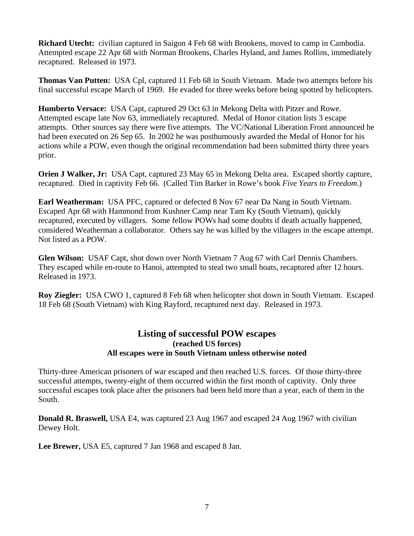**Richard Utecht:** civilian captured in Saigon 4 Feb 68 with Brookens, moved to camp in Cambodia. Attempted escape 22 Apr 68 with Norman Brookens, Charles Hyland, and James Rollins, immediately recaptured. Released in 1973.

**Thomas Van Putten:** USA Cpl, captured 11 Feb 68 in South Vietnam. Made two attempts before his final successful escape March of 1969. He evaded for three weeks before being spotted by helicopters.

**Humberto Versace:** USA Capt, captured 29 Oct 63 in Mekong Delta with Pitzer and Rowe. Attempted escape late Nov 63, immediately recaptured. Medal of Honor citation lists 3 escape attempts. Other sources say there were five attempts. The VC/National Liberation Front announced he had been executed on 26 Sep 65. In 2002 he was posthumously awarded the Medal of Honor for his actions while a POW, even though the original recommendation had been submitted thirty three years prior.

**Orien J Walker, Jr:** USA Capt, captured 23 May 65 in Mekong Delta area. Escaped shortly capture, recaptured. Died in captivity Feb 66. (Called Tim Barker in Rowe's book *Five Years to Freedom*.)

**Earl Weatherman:** USA PFC, captured or defected 8 Nov 67 near Da Nang in South Vietnam. Escaped Apr 68 with Hammond from Kushner Camp near Tam Ky (South Vietnam), quickly recaptured, executed by villagers. Some fellow POWs had some doubts if death actually happened, considered Weatherman a collaborator. Others say he was killed by the villagers in the escape attempt. Not listed as a POW.

**Glen Wilson:** USAF Capt, shot down over North Vietnam 7 Aug 67 with Carl Dennis Chambers. They escaped while en-route to Hanoi, attempted to steal two small boats, recaptured after 12 hours. Released in 1973.

**Roy Ziegler:** USA CWO 1, captured 8 Feb 68 when helicopter shot down in South Vietnam. Escaped 18 Feb 68 (South Vietnam) with King Rayford, recaptured next day. Released in 1973.

### **Listing of successful POW escapes (reached US forces) All escapes were in South Vietnam unless otherwise noted**

Thirty-three American prisoners of war escaped and then reached U.S. forces. Of those thirty-three successful attempts, twenty-eight of them occurred within the first month of captivity. Only three successful escapes took place after the prisoners had been held more than a year, each of them in the South.

**Donald R. Braswell,** USA E4, was captured 23 Aug 1967 and escaped 24 Aug 1967 with civilian Dewey Holt.

**Lee Brewer,** USA E5, captured 7 Jan 1968 and escaped 8 Jan.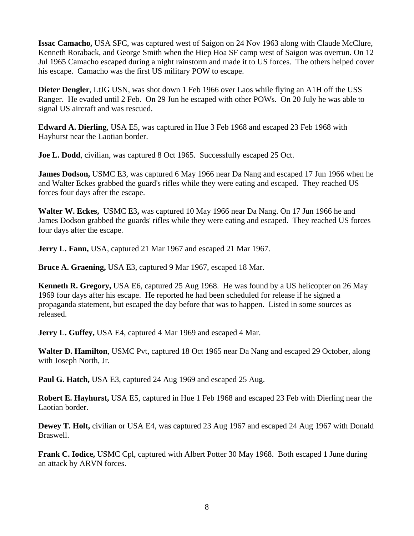**Issac Camacho,** USA SFC, was captured west of Saigon on 24 Nov 1963 along with Claude McClure, Kenneth Roraback, and George Smith when the Hiep Hoa SF camp west of Saigon was overrun. On 12 Jul 1965 Camacho escaped during a night rainstorm and made it to US forces. The others helped cover his escape. Camacho was the first US military POW to escape.

**Dieter Dengler**, LtJG USN, was shot down 1 Feb 1966 over Laos while flying an A1H off the USS Ranger. He evaded until 2 Feb. On 29 Jun he escaped with other POWs. On 20 July he was able to signal US aircraft and was rescued.

**Edward A. Dierling**, USA E5, was captured in Hue 3 Feb 1968 and escaped 23 Feb 1968 with Hayhurst near the Laotian border.

**Joe L. Dodd**, civilian, was captured 8 Oct 1965. Successfully escaped 25 Oct.

**James Dodson,** USMC E3, was captured 6 May 1966 near Da Nang and escaped 17 Jun 1966 when he and Walter Eckes grabbed the guard's rifles while they were eating and escaped. They reached US forces four days after the escape.

**Walter W. Eckes,** USMC E3**,** was captured 10 May 1966 near Da Nang. On 17 Jun 1966 he and James Dodson grabbed the guards' rifles while they were eating and escaped. They reached US forces four days after the escape.

**Jerry L. Fann,** USA, captured 21 Mar 1967 and escaped 21 Mar 1967.

**Bruce A. Graening,** USA E3, captured 9 Mar 1967, escaped 18 Mar.

**Kenneth R. Gregory,** USA E6, captured 25 Aug 1968. He was found by a US helicopter on 26 May 1969 four days after his escape. He reported he had been scheduled for release if he signed a propaganda statement, but escaped the day before that was to happen. Listed in some sources as released.

**Jerry L. Guffey, USA E4, captured 4 Mar 1969 and escaped 4 Mar.** 

**Walter D. Hamilton**, USMC Pvt, captured 18 Oct 1965 near Da Nang and escaped 29 October, along with Joseph North, Jr.

**Paul G. Hatch,** USA E3, captured 24 Aug 1969 and escaped 25 Aug.

**Robert E. Hayhurst,** USA E5, captured in Hue 1 Feb 1968 and escaped 23 Feb with Dierling near the Laotian border.

**Dewey T. Holt,** civilian or USA E4, was captured 23 Aug 1967 and escaped 24 Aug 1967 with Donald Braswell.

**Frank C. Iodice,** USMC Cpl, captured with Albert Potter 30 May 1968. Both escaped 1 June during an attack by ARVN forces.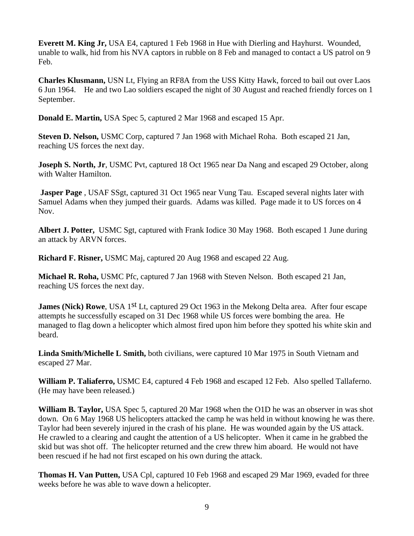**Everett M. King Jr,** USA E4, captured 1 Feb 1968 in Hue with Dierling and Hayhurst. Wounded, unable to walk, hid from his NVA captors in rubble on 8 Feb and managed to contact a US patrol on 9 Feb.

**Charles Klusmann,** USN Lt, Flying an RF8A from the USS Kitty Hawk, forced to bail out over Laos 6 Jun 1964. He and two Lao soldiers escaped the night of 30 August and reached friendly forces on 1 September.

**Donald E. Martin,** USA Spec 5, captured 2 Mar 1968 and escaped 15 Apr.

**Steven D. Nelson,** USMC Corp, captured 7 Jan 1968 with Michael Roha. Both escaped 21 Jan, reaching US forces the next day.

**Joseph S. North, Jr.** USMC Pvt, captured 18 Oct 1965 near Da Nang and escaped 29 October, along with Walter Hamilton.

**Jasper Page**, USAF SSgt, captured 31 Oct 1965 near Vung Tau. Escaped several nights later with Samuel Adams when they jumped their guards. Adams was killed. Page made it to US forces on 4 Nov.

**Albert J. Potter,** USMC Sgt, captured with Frank Iodice 30 May 1968. Both escaped 1 June during an attack by ARVN forces.

**Richard F. Risner,** USMC Maj, captured 20 Aug 1968 and escaped 22 Aug.

**Michael R. Roha,** USMC Pfc, captured 7 Jan 1968 with Steven Nelson. Both escaped 21 Jan, reaching US forces the next day.

**James (Nick) Rowe**, USA 1<sup>st</sup> Lt, captured 29 Oct 1963 in the Mekong Delta area. After four escape attempts he successfully escaped on 31 Dec 1968 while US forces were bombing the area. He managed to flag down a helicopter which almost fired upon him before they spotted his white skin and beard.

**Linda Smith/Michelle L Smith,** both civilians, were captured 10 Mar 1975 in South Vietnam and escaped 27 Mar.

**William P. Taliaferro,** USMC E4, captured 4 Feb 1968 and escaped 12 Feb. Also spelled Tallaferno. (He may have been released.)

**William B. Taylor,** USA Spec 5, captured 20 Mar 1968 when the O1D he was an observer in was shot down. On 6 May 1968 US helicopters attacked the camp he was held in without knowing he was there. Taylor had been severely injured in the crash of his plane. He was wounded again by the US attack. He crawled to a clearing and caught the attention of a US helicopter. When it came in he grabbed the skid but was shot off. The helicopter returned and the crew threw him aboard. He would not have been rescued if he had not first escaped on his own during the attack.

**Thomas H. Van Putten,** USA Cpl, captured 10 Feb 1968 and escaped 29 Mar 1969, evaded for three weeks before he was able to wave down a helicopter.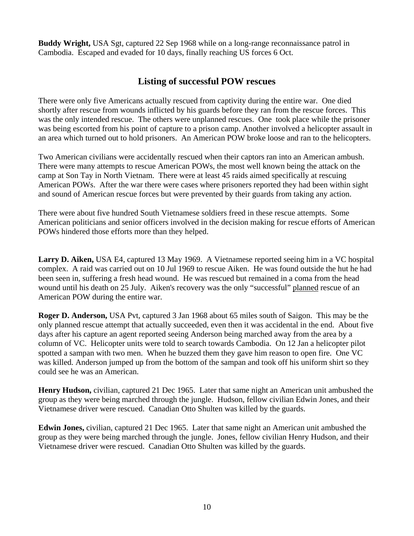**Buddy Wright,** USA Sgt, captured 22 Sep 1968 while on a long-range reconnaissance patrol in Cambodia. Escaped and evaded for 10 days, finally reaching US forces 6 Oct.

## **Listing of successful POW rescues**

There were only five Americans actually rescued from captivity during the entire war. One died shortly after rescue from wounds inflicted by his guards before they ran from the rescue forces. This was the only intended rescue. The others were unplanned rescues. One took place while the prisoner was being escorted from his point of capture to a prison camp. Another involved a helicopter assault in an area which turned out to hold prisoners. An American POW broke loose and ran to the helicopters.

Two American civilians were accidentally rescued when their captors ran into an American ambush. There were many attempts to rescue American POWs, the most well known being the attack on the camp at Son Tay in North Vietnam. There were at least 45 raids aimed specifically at rescuing American POWs. After the war there were cases where prisoners reported they had been within sight and sound of American rescue forces but were prevented by their guards from taking any action.

There were about five hundred South Vietnamese soldiers freed in these rescue attempts. Some American politicians and senior officers involved in the decision making for rescue efforts of American POWs hindered those efforts more than they helped.

**Larry D. Aiken,** USA E4, captured 13 May 1969. A Vietnamese reported seeing him in a VC hospital complex. A raid was carried out on 10 Jul 1969 to rescue Aiken. He was found outside the hut he had been seen in, suffering a fresh head wound. He was rescued but remained in a coma from the head wound until his death on 25 July. Aiken's recovery was the only "successful" planned rescue of an American POW during the entire war.

**Roger D. Anderson,** USA Pvt, captured 3 Jan 1968 about 65 miles south of Saigon. This may be the only planned rescue attempt that actually succeeded, even then it was accidental in the end. About five days after his capture an agent reported seeing Anderson being marched away from the area by a column of VC. Helicopter units were told to search towards Cambodia. On 12 Jan a helicopter pilot spotted a sampan with two men. When he buzzed them they gave him reason to open fire. One VC was killed. Anderson jumped up from the bottom of the sampan and took off his uniform shirt so they could see he was an American.

**Henry Hudson,** civilian, captured 21 Dec 1965. Later that same night an American unit ambushed the group as they were being marched through the jungle. Hudson, fellow civilian Edwin Jones, and their Vietnamese driver were rescued. Canadian Otto Shulten was killed by the guards.

**Edwin Jones,** civilian, captured 21 Dec 1965. Later that same night an American unit ambushed the group as they were being marched through the jungle. Jones, fellow civilian Henry Hudson, and their Vietnamese driver were rescued. Canadian Otto Shulten was killed by the guards.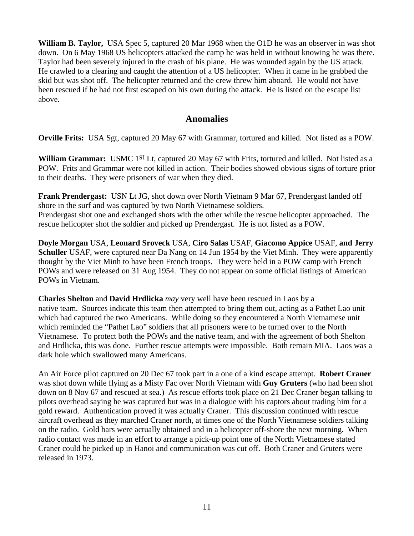**William B. Taylor,** USA Spec 5, captured 20 Mar 1968 when the O1D he was an observer in was shot down. On 6 May 1968 US helicopters attacked the camp he was held in without knowing he was there. Taylor had been severely injured in the crash of his plane. He was wounded again by the US attack. He crawled to a clearing and caught the attention of a US helicopter. When it came in he grabbed the skid but was shot off. The helicopter returned and the crew threw him aboard. He would not have been rescued if he had not first escaped on his own during the attack. He is listed on the escape list above.

#### **Anomalies**

**Orville Frits:** USA Sgt, captured 20 May 67 with Grammar, tortured and killed. Not listed as a POW.

William Grammar: USMC 1<sup>st</sup> Lt, captured 20 May 67 with Frits, tortured and killed. Not listed as a POW. Frits and Grammar were not killed in action. Their bodies showed obvious signs of torture prior to their deaths. They were prisoners of war when they died.

**Frank Prendergast:** USN Lt JG, shot down over North Vietnam 9 Mar 67, Prendergast landed off shore in the surf and was captured by two North Vietnamese soldiers. Prendergast shot one and exchanged shots with the other while the rescue helicopter approached. The rescue helicopter shot the soldier and picked up Prendergast. He is not listed as a POW.

**Doyle Morgan** USA, **Leonard Sroveck** USA, **Ciro Salas** USAF, **Giacomo Appice** USAF, **and Jerry Schuller** USAF, were captured near Da Nang on 14 Jun 1954 by the Viet Minh. They were apparently thought by the Viet Minh to have been French troops. They were held in a POW camp with French POWs and were released on 31 Aug 1954. They do not appear on some official listings of American POWs in Vietnam.

**Charles Shelton** and **David Hrdlicka** *may* very well have been rescued in Laos by a native team. Sources indicate this team then attempted to bring them out, acting as a Pathet Lao unit which had captured the two Americans. While doing so they encountered a North Vietnamese unit which reminded the "Pathet Lao" soldiers that all prisoners were to be turned over to the North Vietnamese. To protect both the POWs and the native team, and with the agreement of both Shelton and Hrdlicka, this was done. Further rescue attempts were impossible. Both remain MIA. Laos was a dark hole which swallowed many Americans.

An Air Force pilot captured on 20 Dec 67 took part in a one of a kind escape attempt. **Robert Craner** was shot down while flying as a Misty Fac over North Vietnam with **Guy Gruters** (who had been shot down on 8 Nov 67 and rescued at sea.) As rescue efforts took place on 21 Dec Craner began talking to pilots overhead saying he was captured but was in a dialogue with his captors about trading him for a gold reward. Authentication proved it was actually Craner. This discussion continued with rescue aircraft overhead as they marched Craner north, at times one of the North Vietnamese soldiers talking on the radio. Gold bars were actually obtained and in a helicopter off-shore the next morning. When radio contact was made in an effort to arrange a pick-up point one of the North Vietnamese stated Craner could be picked up in Hanoi and communication was cut off. Both Craner and Gruters were released in 1973.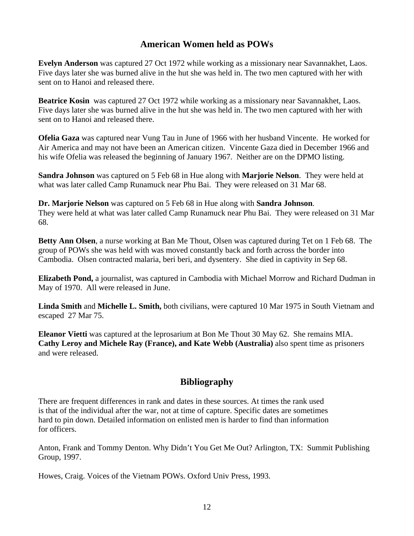# **American Women held as POWs**

**Evelyn Anderson** was captured 27 Oct 1972 while working as a missionary near Savannakhet, Laos. Five days later she was burned alive in the hut she was held in. The two men captured with her with sent on to Hanoi and released there.

**Beatrice Kosin** was captured 27 Oct 1972 while working as a missionary near Savannakhet, Laos. Five days later she was burned alive in the hut she was held in. The two men captured with her with sent on to Hanoi and released there.

**Ofelia Gaza** was captured near Vung Tau in June of 1966 with her husband Vincente. He worked for Air America and may not have been an American citizen. Vincente Gaza died in December 1966 and his wife Ofelia was released the beginning of January 1967. Neither are on the DPMO listing.

**Sandra Johnson** was captured on 5 Feb 68 in Hue along with **Marjorie Nelson**. They were held at what was later called Camp Runamuck near Phu Bai. They were released on 31 Mar 68.

**Dr. Marjorie Nelson** was captured on 5 Feb 68 in Hue along with **Sandra Johnson**. They were held at what was later called Camp Runamuck near Phu Bai. They were released on 31 Mar 68.

**Betty Ann Olsen**, a nurse working at Ban Me Thout, Olsen was captured during Tet on 1 Feb 68. The group of POWs she was held with was moved constantly back and forth across the border into Cambodia. Olsen contracted malaria, beri beri, and dysentery. She died in captivity in Sep 68.

**Elizabeth Pond,** a journalist, was captured in Cambodia with Michael Morrow and Richard Dudman in May of 1970. All were released in June.

**Linda Smith** and **Michelle L. Smith,** both civilians, were captured 10 Mar 1975 in South Vietnam and escaped 27 Mar 75.

**Eleanor Vietti** was captured at the leprosarium at Bon Me Thout 30 May 62. She remains MIA. **Cathy Leroy and Michele Ray (France), and Kate Webb (Australia)** also spent time as prisoners and were released.

# **Bibliography**

There are frequent differences in rank and dates in these sources. At times the rank used is that of the individual after the war, not at time of capture. Specific dates are sometimes hard to pin down. Detailed information on enlisted men is harder to find than information for officers.

Anton, Frank and Tommy Denton. Why Didn't You Get Me Out? Arlington, TX: Summit Publishing Group, 1997.

Howes, Craig. Voices of the Vietnam POWs. Oxford Univ Press, 1993.